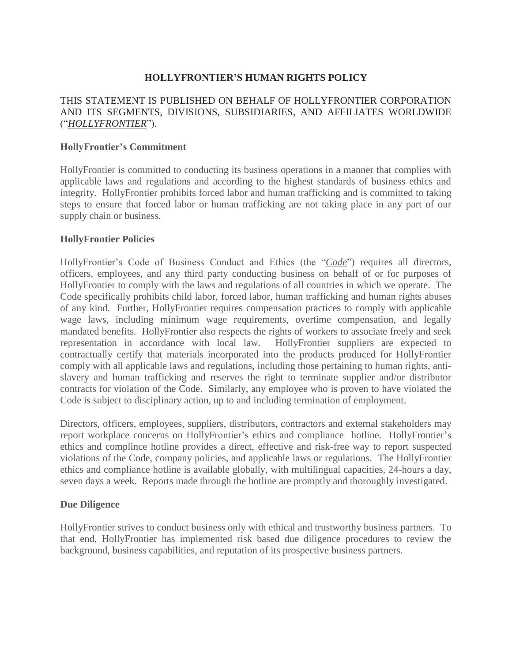## **HOLLYFRONTIER'S HUMAN RIGHTS POLICY**

### THIS STATEMENT IS PUBLISHED ON BEHALF OF HOLLYFRONTIER CORPORATION AND ITS SEGMENTS, DIVISIONS, SUBSIDIARIES, AND AFFILIATES WORLDWIDE ("*HOLLYFRONTIER*").

### **HollyFrontier's Commitment**

HollyFrontier is committed to conducting its business operations in a manner that complies with applicable laws and regulations and according to the highest standards of business ethics and integrity. HollyFrontier prohibits forced labor and human trafficking and is committed to taking steps to ensure that forced labor or human trafficking are not taking place in any part of our supply chain or business.

### **HollyFrontier Policies**

HollyFrontier's Code of Business Conduct and Ethics (the "*Code*") requires all directors, officers, employees, and any third party conducting business on behalf of or for purposes of HollyFrontier to comply with the laws and regulations of all countries in which we operate. The Code specifically prohibits child labor, forced labor, human trafficking and human rights abuses of any kind. Further, HollyFrontier requires compensation practices to comply with applicable wage laws, including minimum wage requirements, overtime compensation, and legally mandated benefits. HollyFrontier also respects the rights of workers to associate freely and seek representation in accordance with local law. HollyFrontier suppliers are expected to contractually certify that materials incorporated into the products produced for HollyFrontier comply with all applicable laws and regulations, including those pertaining to human rights, antislavery and human trafficking and reserves the right to terminate supplier and/or distributor contracts for violation of the Code. Similarly, any employee who is proven to have violated the Code is subject to disciplinary action, up to and including termination of employment.

Directors, officers, employees, suppliers, distributors, contractors and external stakeholders may report workplace concerns on HollyFrontier's ethics and compliance hotline. HollyFrontier's ethics and complince hotline provides a direct, effective and risk-free way to report suspected violations of the Code, company policies, and applicable laws or regulations. The HollyFrontier ethics and compliance hotline is available globally, with multilingual capacities, 24-hours a day, seven days a week. Reports made through the hotline are promptly and thoroughly investigated.

#### **Due Diligence**

HollyFrontier strives to conduct business only with ethical and trustworthy business partners. To that end, HollyFrontier has implemented risk based due diligence procedures to review the background, business capabilities, and reputation of its prospective business partners.